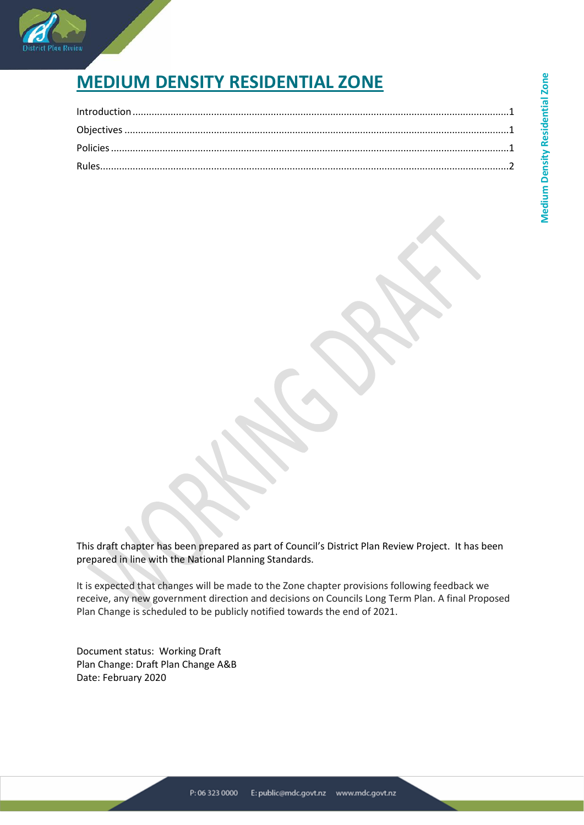

# **MEDIUM DENSITY RESIDENTIAL ZONE**

This draft chapter has been prepared as part of Council's District Plan Review Project.  It has been prepared in line with the National Planning Standards.

It is expected that changes will be made to the Zone chapter provisions following feedback we receive, any new government direction and decisions on Councils Long Term Plan. A final Proposed Plan Change is scheduled to be publicly notified towards the end of 2021.

Document status:  Working Draft Plan Change: Draft Plan Change A&B Date: February 2020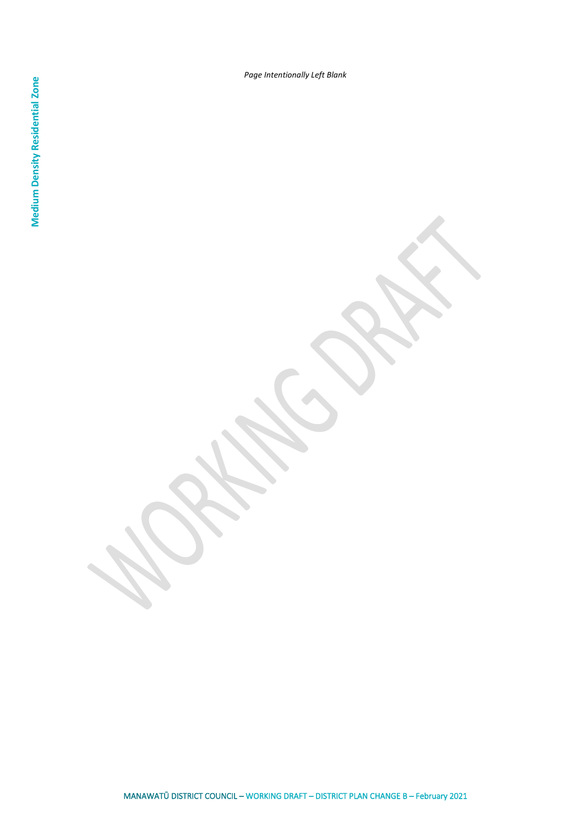*Page Intentionally Left Blank*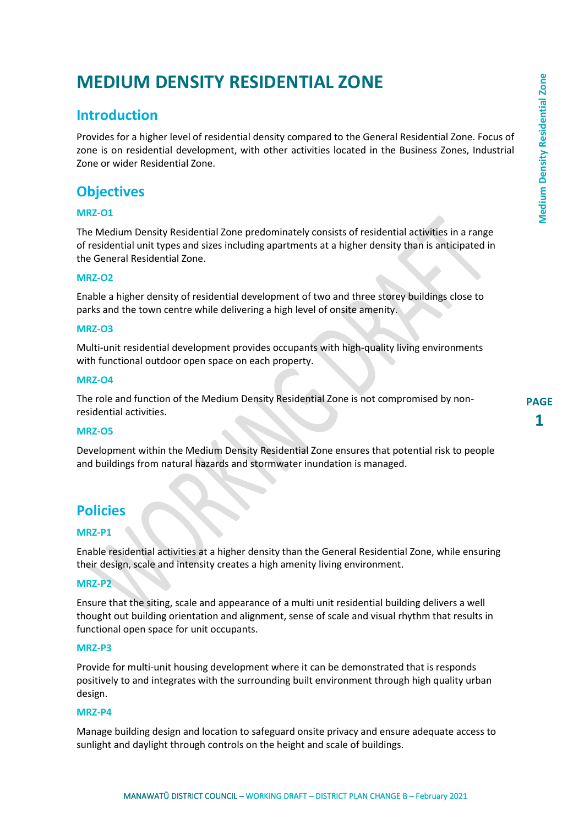# **MEDIUM DENSITY RESIDENTIAL ZONE**

# <span id="page-2-0"></span>**Introduction**

UMI DENSITY RESIDENTIAL ZONE<br>
critican<br>
residential development, with other activities tanded to the General Residential Zone. Fourth of<br>
residential development, with other activities tanded in the Rusiness Zones, Industr Provides for a higher level of residential density compared to the General Residential Zone. Focus of zone is on residential development, with other activities located in the Business Zones, Industrial Zone or wider Residential Zone.

# <span id="page-2-1"></span>**Objectives**

## **MRZ-O1**

The Medium Density Residential Zone predominately consists of residential activities in a range of residential unit types and sizes including apartments at a higher density than is anticipated in the General Residential Zone.

#### **MRZ-O2**

Enable a higher density of residential development of two and three storey buildings close to parks and the town centre while delivering a high level of onsite amenity.

#### **MRZ-O3**

Multi-unit residential development provides occupants with high-quality living environments with functional outdoor open space on each property.

#### **MRZ-O4**

The role and function of the Medium Density Residential Zone is not compromised by nonresidential activities.

#### **MRZ-O5**

Development within the Medium Density Residential Zone ensures that potential risk to people and buildings from natural hazards and stormwater inundation is managed.

# <span id="page-2-2"></span>**Policies**

## **MRZ-P1**

Enable residential activities at a higher density than the General Residential Zone, while ensuring their design, scale and intensity creates a high amenity living environment.

## **MRZ-P2**

Ensure that the siting, scale and appearance of a multi unit residential building delivers a well thought out building orientation and alignment, sense of scale and visual rhythm that results in functional open space for unit occupants.

#### **MRZ-P3**

Provide for multi-unit housing development where it can be demonstrated that is responds positively to and integrates with the surrounding built environment through high quality urban design.

#### **MRZ-P4**

Manage building design and location to safeguard onsite privacy and ensure adequate access to sunlight and daylight through controls on the height and scale of buildings.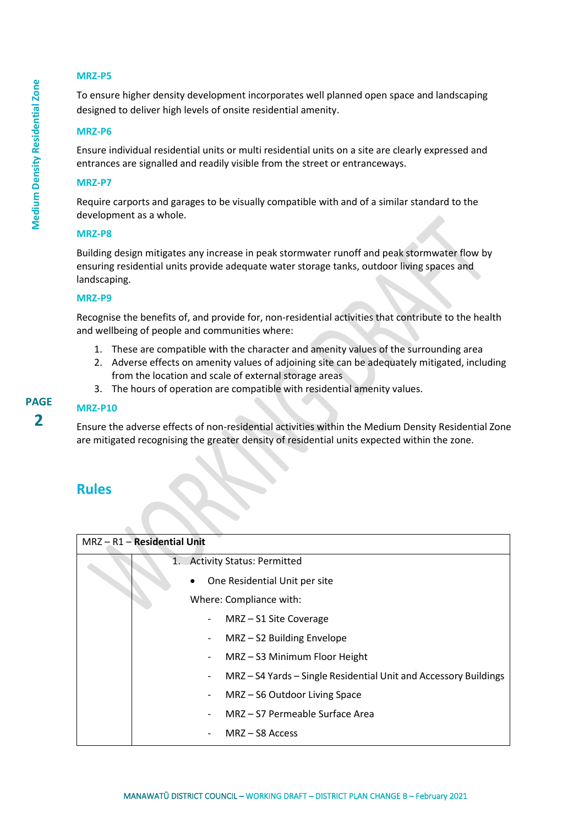# **GMRZ-P5**

To ensure higher density development incorporates well planned open space and landscaping designed to deliver high levels of onsite residential amenity.

#### **MRZ-P6**

Ensure individual residential units or multi residential units on a site are clearly expressed and entrances are signalled and readily visible from the street or entranceways.

#### **MRZ-P7**

Require carports and garages to be visually compatible with and of a similar standard to the development as a whole.

#### **MRZ-P8**

Building design mitigates any increase in peak stormwater runoff and peak stormwater flow by ensuring residential units provide adequate water storage tanks, outdoor living spaces and landscaping.

#### **MRZ-P9**

Recognise the benefits of, and provide for, non-residential activities that contribute to the health and wellbeing of people and communities where:

- 1. These are compatible with the character and amenity values of the surrounding area
- 2. Adverse effects on amenity values of adjoining site can be adequately mitigated, including from the location and scale of external storage areas
- 3. The hours of operation are compatible with residential amenity values.

## **MRZ-P10**

**PAGE**

 $\overline{2}$ 

Ensure the adverse effects of non-residential activities within the Medium Density Residential Zone are mitigated recognising the greater density of residential units expected within the zone.

## <span id="page-3-0"></span>**Rules**

| MRZ-R1-Residential Unit |                                                              |  |  |  |
|-------------------------|--------------------------------------------------------------|--|--|--|
|                         | 1. Activity Status: Permitted                                |  |  |  |
|                         | One Residential Unit per site                                |  |  |  |
|                         | Where: Compliance with:                                      |  |  |  |
|                         | MRZ – S1 Site Coverage                                       |  |  |  |
|                         | MRZ-S2 Building Envelope                                     |  |  |  |
|                         | MRZ-S3 Minimum Floor Height                                  |  |  |  |
|                         | MRZ-S4 Yards-Single Residential Unit and Accessory Buildings |  |  |  |
|                         | MRZ-S6 Outdoor Living Space                                  |  |  |  |
|                         | MRZ – S7 Permeable Surface Area                              |  |  |  |
|                         | $MRZ - S8$ Access                                            |  |  |  |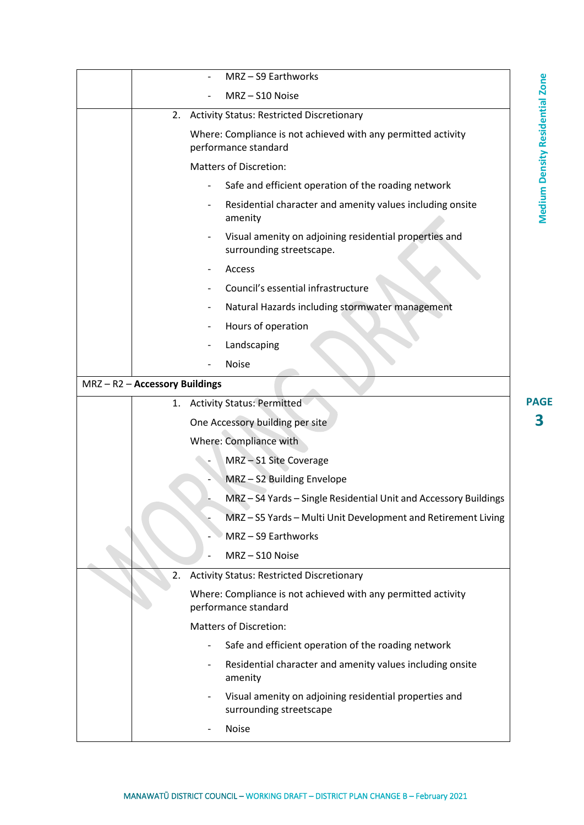|                            |    | MRZ-S9 Earthworks                                                                                |                                        |
|----------------------------|----|--------------------------------------------------------------------------------------------------|----------------------------------------|
|                            |    | MRZ-S10 Noise                                                                                    |                                        |
|                            |    | 2. Activity Status: Restricted Discretionary                                                     |                                        |
|                            |    | Where: Compliance is not achieved with any permitted activity<br>performance standard            | <b>Medium Density Residential Zone</b> |
|                            |    | <b>Matters of Discretion:</b>                                                                    |                                        |
|                            |    | Safe and efficient operation of the roading network                                              |                                        |
|                            |    | Residential character and amenity values including onsite<br>amenity                             |                                        |
|                            |    | Visual amenity on adjoining residential properties and<br>surrounding streetscape.               |                                        |
|                            |    | Access                                                                                           |                                        |
|                            |    | Council's essential infrastructure                                                               |                                        |
|                            |    | Natural Hazards including stormwater management                                                  |                                        |
|                            |    | Hours of operation                                                                               |                                        |
|                            |    | Landscaping                                                                                      |                                        |
|                            |    | <b>Noise</b>                                                                                     |                                        |
| MRZ-R2-Accessory Buildings |    |                                                                                                  |                                        |
|                            | 1. | <b>Activity Status: Permitted</b>                                                                | <b>PAGE</b>                            |
|                            |    | One Accessory building per site                                                                  | 3                                      |
|                            |    | Where: Compliance with                                                                           |                                        |
|                            |    | MRZ-S1 Site Coverage                                                                             |                                        |
|                            |    | MRZ-S2 Building Envelope                                                                         |                                        |
|                            |    | MRZ-S4 Yards-Single Residential Unit and Accessory Buildings                                     |                                        |
|                            |    | MRZ-S5 Yards-Multi Unit Development and Retirement Living                                        |                                        |
|                            |    | MRZ-S9 Earthworks                                                                                |                                        |
|                            |    | MRZ-S10 Noise                                                                                    |                                        |
|                            | 2. | <b>Activity Status: Restricted Discretionary</b>                                                 |                                        |
|                            |    | Where: Compliance is not achieved with any permitted activity<br>performance standard            |                                        |
|                            |    | <b>Matters of Discretion:</b>                                                                    |                                        |
|                            |    | Safe and efficient operation of the roading network<br>$\overline{\phantom{0}}$                  |                                        |
|                            |    | Residential character and amenity values including onsite<br>$\overline{\phantom{0}}$<br>amenity |                                        |
|                            |    | Visual amenity on adjoining residential properties and<br>surrounding streetscape                |                                        |
|                            |    | <b>Noise</b>                                                                                     |                                        |

- Visual amenity on adjoining residential properties and surrounding streetscape
- Noise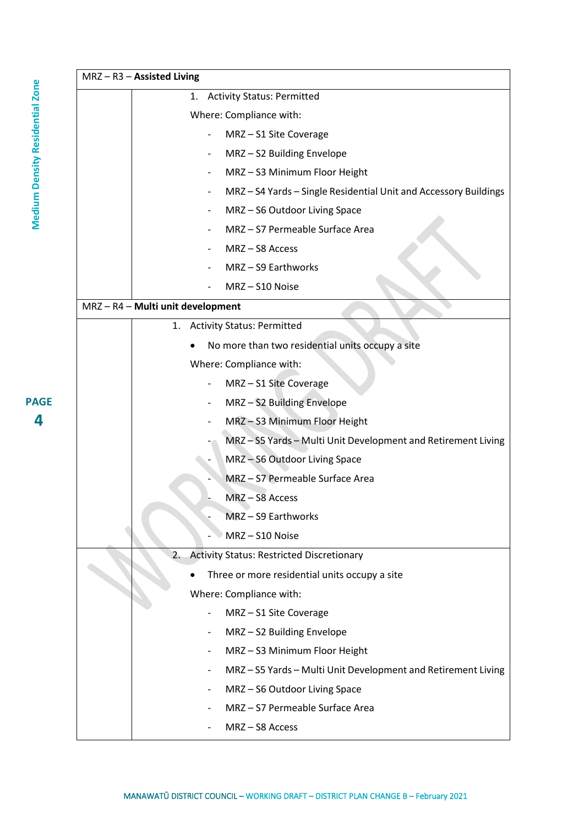| $MRZ - R3 - Assisted Living$  |                                                              |
|-------------------------------|--------------------------------------------------------------|
|                               | <b>Activity Status: Permitted</b><br>1.                      |
|                               | Where: Compliance with:                                      |
|                               | MRZ-S1 Site Coverage                                         |
|                               | MRZ-S2 Building Envelope                                     |
|                               | MRZ-S3 Minimum Floor Height                                  |
|                               | MRZ-S4 Yards-Single Residential Unit and Accessory Buildings |
|                               | MRZ-S6 Outdoor Living Space                                  |
|                               | MRZ-S7 Permeable Surface Area                                |
|                               | MRZ-S8 Access                                                |
|                               | MRZ-S9 Earthworks                                            |
|                               | MRZ-S10 Noise                                                |
| MRZ-R4-Multi unit development |                                                              |
|                               | <b>Activity Status: Permitted</b><br>1.                      |
|                               | No more than two residential units occupy a site             |
|                               | Where: Compliance with:                                      |
|                               | MRZ-S1 Site Coverage                                         |
|                               | MRZ-S2 Building Envelope                                     |
|                               | MRZ-S3 Minimum Floor Height                                  |
|                               | MRZ-S5 Yards-Multi Unit Development and Retirement Living    |
|                               | MRZ-S6 Outdoor Living Space                                  |
|                               | MRZ-S7 Permeable Surface Area                                |
|                               | MRZ-S8 Access                                                |
|                               | MRZ-S9 Earthworks                                            |
|                               | MRZ-S10 Noise                                                |
|                               | <b>Activity Status: Restricted Discretionary</b><br>$2 -$    |
|                               | Three or more residential units occupy a site                |
|                               | Where: Compliance with:                                      |
|                               | MRZ-S1 Site Coverage                                         |
|                               | MRZ-S2 Building Envelope<br>-                                |
|                               | MRZ-S3 Minimum Floor Height<br>-                             |
|                               | MRZ-S5 Yards-Multi Unit Development and Retirement Living    |
|                               | MRZ-S6 Outdoor Living Space                                  |
|                               | MRZ-S7 Permeable Surface Area                                |
|                               | MRZ-S8 Access                                                |
|                               |                                                              |

 $\overline{\mathbf{4}}$ 

MANAWATŪ DISTRICT COUNCIL – WORKING DRAFT – DISTRICT PLAN CHANGE B – February 2021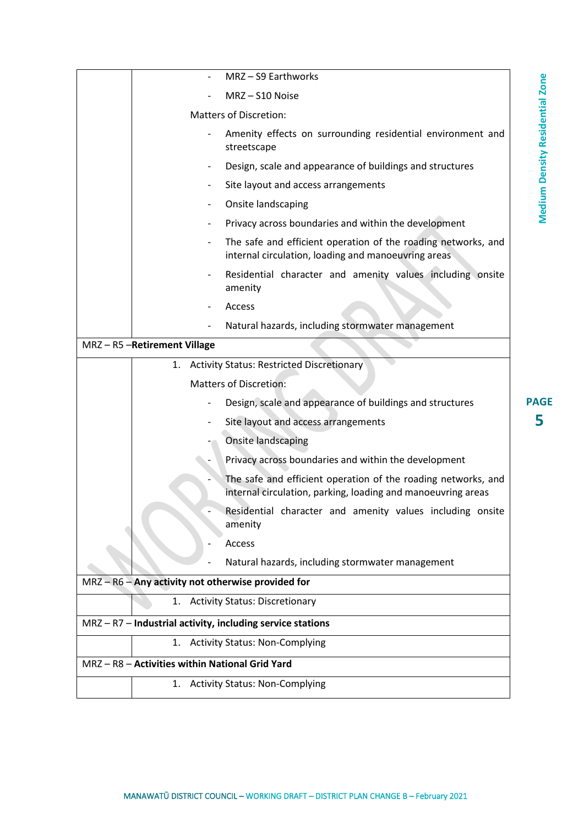|                           | MRZ-S9 Earthworks                                                                                                             |                                        |
|---------------------------|-------------------------------------------------------------------------------------------------------------------------------|----------------------------------------|
|                           | MRZ-S10 Noise                                                                                                                 |                                        |
|                           | <b>Matters of Discretion:</b>                                                                                                 |                                        |
|                           | Amenity effects on surrounding residential environment and<br>streetscape                                                     | <b>Medium Density Residential Zone</b> |
|                           | Design, scale and appearance of buildings and structures                                                                      |                                        |
|                           | Site layout and access arrangements                                                                                           |                                        |
|                           | Onsite landscaping                                                                                                            |                                        |
|                           | Privacy across boundaries and within the development                                                                          |                                        |
|                           | The safe and efficient operation of the roading networks, and<br>internal circulation, loading and manoeuvring areas          |                                        |
|                           | Residential character and amenity values including onsite<br>amenity                                                          |                                        |
|                           | Access                                                                                                                        |                                        |
|                           | Natural hazards, including stormwater management                                                                              |                                        |
| MRZ-R5-Retirement Village |                                                                                                                               |                                        |
| 1.                        | <b>Activity Status: Restricted Discretionary</b>                                                                              |                                        |
|                           | <b>Matters of Discretion:</b>                                                                                                 |                                        |
|                           | Design, scale and appearance of buildings and structures                                                                      | <b>PAGE</b>                            |
|                           | Site layout and access arrangements                                                                                           | 5                                      |
|                           | Onsite landscaping                                                                                                            |                                        |
|                           | Privacy across boundaries and within the development                                                                          |                                        |
|                           | The safe and efficient operation of the roading networks, and<br>internal circulation, parking, loading and manoeuvring areas |                                        |
|                           | Residential character and amenity values including onsite<br>amenity                                                          |                                        |
|                           | Access                                                                                                                        |                                        |
|                           | Natural hazards, including stormwater management                                                                              |                                        |
|                           | $MRZ - R6 - Any$ activity not otherwise provided for                                                                          |                                        |
|                           | 1. Activity Status: Discretionary                                                                                             |                                        |
|                           | MRZ-R7-Industrial activity, including service stations                                                                        |                                        |
| 1.                        | <b>Activity Status: Non-Complying</b>                                                                                         |                                        |
|                           | MRZ-R8-Activities within National Grid Yard                                                                                   |                                        |
| 1.                        | <b>Activity Status: Non-Complying</b>                                                                                         |                                        |
|                           |                                                                                                                               |                                        |
|                           |                                                                                                                               |                                        |
|                           |                                                                                                                               |                                        |
|                           |                                                                                                                               |                                        |
|                           |                                                                                                                               |                                        |
|                           | MANAWATŪ DISTRICT COUNCIL - WORKING DRAFT - DISTRICT PLAN CHANGE B - February 2021                                            |                                        |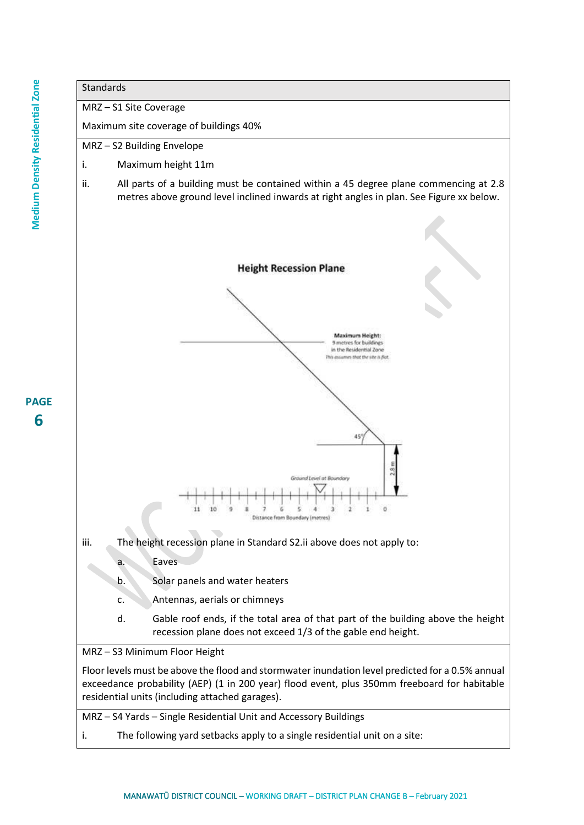6



i. The following yard setbacks apply to a single residential unit on a site: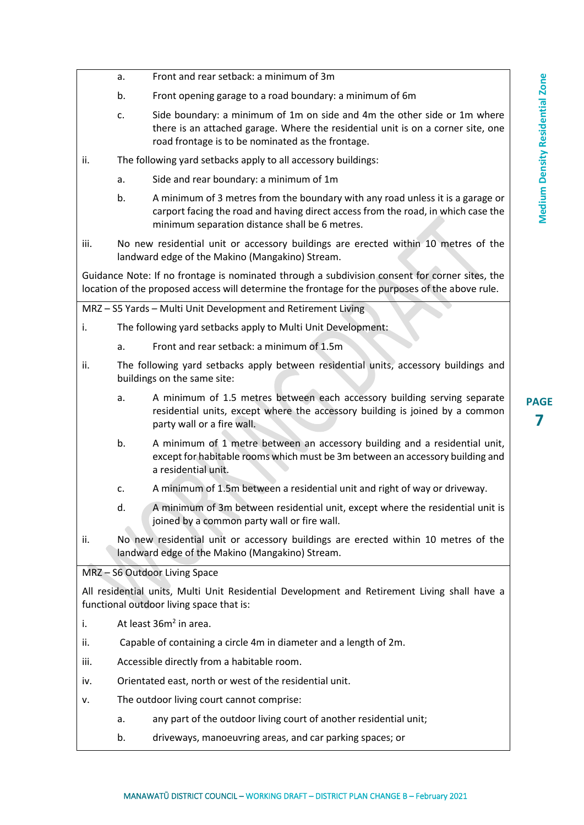- a. Front and rear setback: a minimum of 3m
- b. Front opening garage to a road boundary: a minimum of 6m
- Front loneing and setting the minimum of amendment and minimum of energies and the model and domestic and domestic and domestic and domestic and domestic and domestic and domestic and the state of the state of the state of c. Side boundary: a minimum of 1m on side and 4m the other side or 1m where there is an attached garage. Where the residential unit is on a corner site, one road frontage is to be nominated as the frontage.
- ii. The following yard setbacks apply to all accessory buildings:
	- a. Side and rear boundary: a minimum of 1m
	- b. A minimum of 3 metres from the boundary with any road unless it is a garage or carport facing the road and having direct access from the road, in which case the minimum separation distance shall be 6 metres.
- iii. No new residential unit or accessory buildings are erected within 10 metres of the landward edge of the Makino (Mangakino) Stream.

Guidance Note: If no frontage is nominated through a subdivision consent for corner sites, the location of the proposed access will determine the frontage for the purposes of the above rule.

MRZ – S5 Yards – Multi Unit Development and Retirement Living

- i. The following yard setbacks apply to Multi Unit Development:
	- a. Front and rear setback: a minimum of 1.5m
- ii. The following yard setbacks apply between residential units, accessory buildings and buildings on the same site:
	- a. A minimum of 1.5 metres between each accessory building serving separate residential units, except where the accessory building is joined by a common party wall or a fire wall.
	- b. A minimum of 1 metre between an accessory building and a residential unit, except for habitable rooms which must be 3m between an accessory building and a residential unit.
	- c. A minimum of 1.5m between a residential unit and right of way or driveway.
	- d. A minimum of 3m between residential unit, except where the residential unit is joined by a common party wall or fire wall.
- ii. No new residential unit or accessory buildings are erected within 10 metres of the landward edge of the Makino (Mangakino) Stream.

MRZ – S6 Outdoor Living Space

All residential units, Multi Unit Residential Development and Retirement Living shall have a functional outdoor living space that is:

- i. At least  $36m^2$  in area.
- ii. Capable of containing a circle 4m in diameter and a length of 2m.
- iii. Accessible directly from a habitable room.
- iv. Orientated east, north or west of the residential unit.
- v. The outdoor living court cannot comprise:
	- a. any part of the outdoor living court of another residential unit;
	- b. driveways, manoeuvring areas, and car parking spaces; or

**PAGE 7**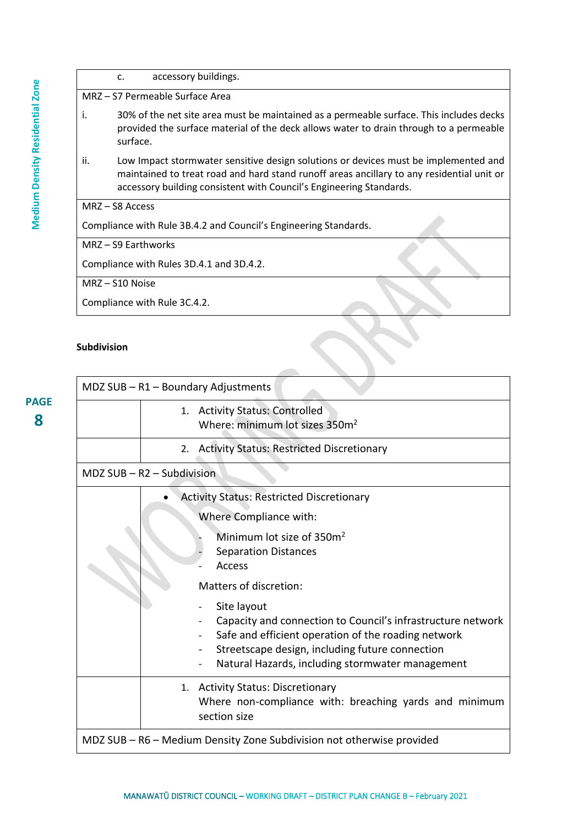|                                | M                       |
|--------------------------------|-------------------------|
|                                | i.                      |
| edium Density Residential Zone | ii.                     |
|                                | M                       |
|                                | C <sub>C</sub>          |
|                                | $\overline{\mathsf{M}}$ |
|                                | C <sub>C</sub>          |
|                                | $\overline{\mathsf{M}}$ |
|                                | C                       |
|                                | Sul                     |
|                                | M                       |
| <b>AGE</b>                     |                         |
| 8                              |                         |

c. accessory buildings.

RZ - S7 Permeable Surface Area

- 30% of the net site area must be maintained as a permeable surface. This includes decks provided the surface material of the deck allows water to drain through to a permeable surface.
- Low Impact stormwater sensitive design solutions or devices must be implemented and maintained to treat road and hard stand runoff areas ancillary to any residential unit or accessory building consistent with Council's Engineering Standards.

## MRZ – S8 Access

Compliance with Rule 3B.4.2 and Council's Engineering Standards.

MRZ – S9 Earthworks

Compliance with Rules 3D.4.1 and 3D.4.2.

MRZ – S10 Noise

Compliance with Rule 3C.4.2.

## **Subdivision**

| <b>PAGE</b><br>8 | MDZ SUB - R1 - Boundary Adjustments                                                                                                                                                                                                      |  |  |  |  |
|------------------|------------------------------------------------------------------------------------------------------------------------------------------------------------------------------------------------------------------------------------------|--|--|--|--|
|                  | 1. Activity Status: Controlled<br>Where: minimum lot sizes 350m <sup>2</sup>                                                                                                                                                             |  |  |  |  |
|                  | <b>Activity Status: Restricted Discretionary</b><br>2.                                                                                                                                                                                   |  |  |  |  |
|                  | $MDZ SUB - R2 - Subdivision$                                                                                                                                                                                                             |  |  |  |  |
|                  | <b>Activity Status: Restricted Discretionary</b>                                                                                                                                                                                         |  |  |  |  |
|                  | Where Compliance with:                                                                                                                                                                                                                   |  |  |  |  |
|                  | Minimum lot size of 350m <sup>2</sup><br><b>Separation Distances</b><br>Access                                                                                                                                                           |  |  |  |  |
|                  | Matters of discretion:                                                                                                                                                                                                                   |  |  |  |  |
|                  | Site layout<br>Capacity and connection to Council's infrastructure network<br>Safe and efficient operation of the roading network<br>Streetscape design, including future connection<br>Natural Hazards, including stormwater management |  |  |  |  |
|                  | <b>Activity Status: Discretionary</b><br>1.<br>Where non-compliance with: breaching yards and minimum<br>section size                                                                                                                    |  |  |  |  |
|                  | MDZ SUB - R6 - Medium Density Zone Subdivision not otherwise provided                                                                                                                                                                    |  |  |  |  |